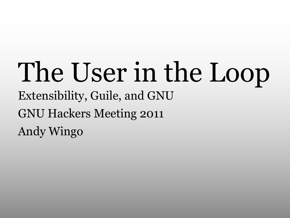#### The User in the Loop Extensibility, Guile, and GNU GNU Hackers Meeting 2011 Andy Wingo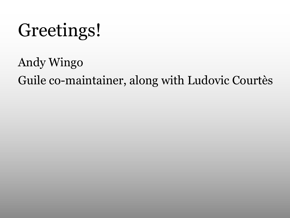#### Greetings!

Andy Wingo Guile co-maintainer, along with Ludovic Courtès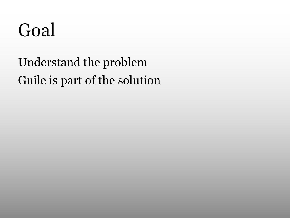#### Goal

#### Understand the problem Guile is part of the solution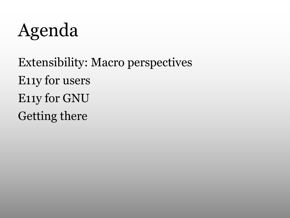Agenda

Extensibility: Macro perspectives E11y for users E11y for GNU Getting there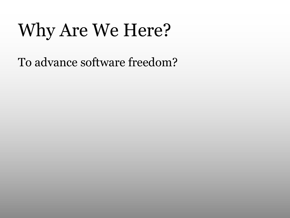## Why Are We Here?

To advance software freedom?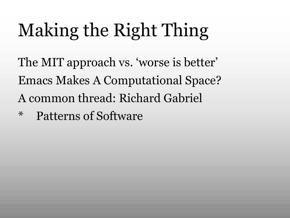# Making the Right Thing

The MIT approach vs. 'worse is better' Emacs Makes A Computational Space? A common thread: Richard Gabriel

\* Patterns of Software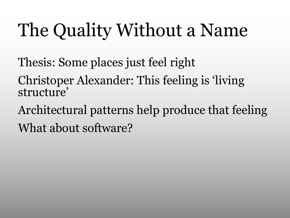## The Quality Without a Name

- Thesis: Some places just feel right
- Christoper Alexander: This feeling is 'living structure'
- Architectural patterns help produce that feeling What about software?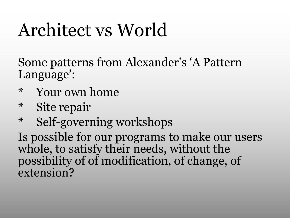## Architect vs World

Some patterns from Alexander's 'A Pattern Language':

- Your own home\*
- Site repair\*
- \* Self-governing workshops

Is possible for our programs to make our users whole, to satisfy their needs, without the possibility of of modification, of change, of extension?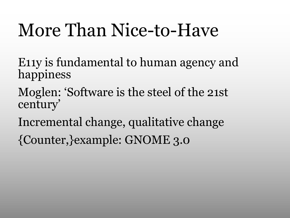#### More Than Nice-to-Have

- E11y is fundamental to human agency and happiness
- Moglen: 'Software is the steel of the 21st century'
- Incremental change, qualitative change
- {Counter,}example: GNOME 3.0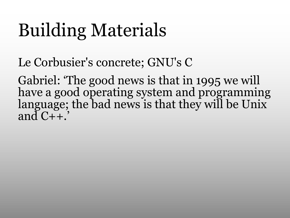## Building Materials

Le Corbusier's concrete; GNU's C

Gabriel: 'The good news is that in 1995 we will have a good operating system and programming language; the bad news is that they will be Unix and  $C++$ .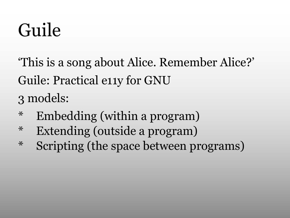## Guile

'This is a song about Alice. Remember Alice?' Guile: Practical e11y for GNU 3 models:

- \* Embedding (within a program)
- \* Extending (outside a program)
- \* Scripting (the space between programs)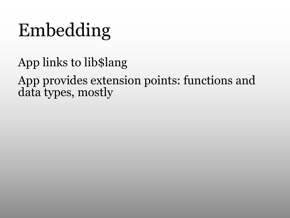## Embedding

App links to lib\$lang

App provides extension points: functions and data types, mostly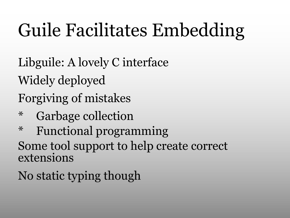## Guile Facilitates Embedding

Libguile: A lovely C interface Widely deployed Forgiving of mistakes

- Garbage collection\*
- \* Functional programming Some tool support to help create correct extensions

No static typing though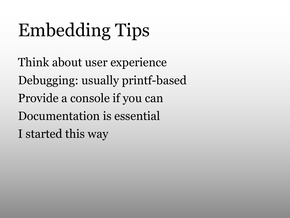# Embedding Tips

Think about user experience Debugging: usually printf-based Provide a console if you can Documentation is essential I started this way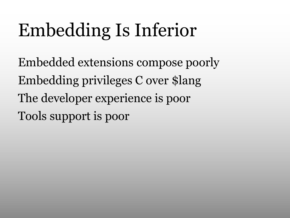## Embedding Is Inferior

Embedded extensions compose poorly Embedding privileges C over \$lang The developer experience is poor Tools support is poor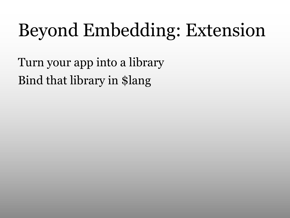## Beyond Embedding: Extension

Turn your app into a library Bind that library in \$lang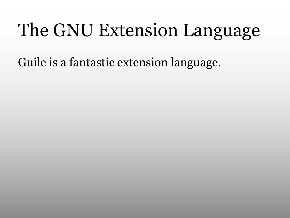## The GNU Extension Language

Guile is a fantastic extension language.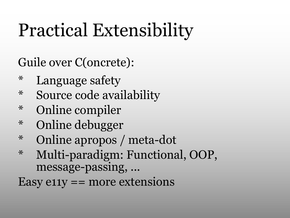## Practical Extensibility

Guile over C(oncrete):

- Language safety\*
- \* Source code availability
- Online compiler\*
- Online debugger\*
- \* Online apropos / meta-dot
- Multi-paradigm: Functional, OOP, message-passing, ... \*

Easy  $e11y == more extensions$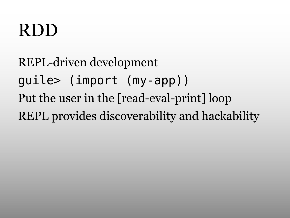#### RDD

REPL-driven development guile> (import (my-app)) Put the user in the [read-eval-print] loop REPL provides discoverability and hackability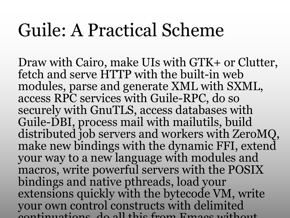#### Guile: A Practical Scheme

Draw with Cairo, make UIs with GTK+ or Clutter, fetch and serve HTTP with the built-in web modules, parse and generate XML with SXML, access RPC services with Guile-RPC, do so securely with GnuTLS, access databases with Guile-DBI, process mail with mailutils, build distributed job servers and workers with ZeroMQ, make new bindings with the dynamic FFI, extend your way to a new language with modules and macros, write powerful servers with the POSIX bindings and native pthreads, load your extensions quickly with the bytecode VM, write your own control constructs with delimited continuations, do all this from Emacs without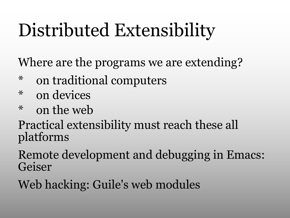## Distributed Extensibility

Where are the programs we are extending?

- \* on traditional computers
- on devices\*
- $*$  on the web

Practical extensibility must reach these all platforms

Remote development and debugging in Emacs: Geiser

Web hacking: Guile's web modules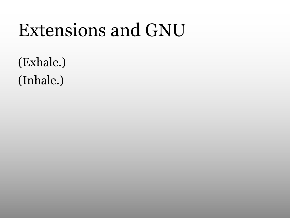#### Extensions and GNU

(Exhale.) (Inhale.)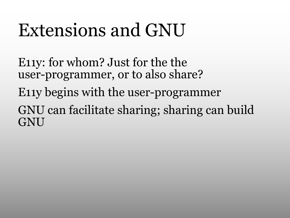#### Extensions and GNU

E11y: for whom? Just for the the user-programmer, or to also share?

E11y begins with the user-programmer

GNU can facilitate sharing; sharing can build **GNU**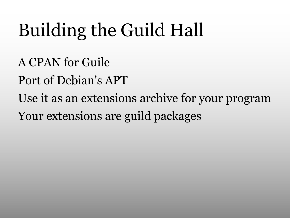## Building the Guild Hall

A CPAN for Guile Port of Debian's APT Use it as an extensions archive for your program Your extensions are guild packages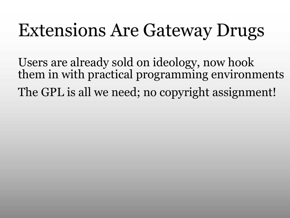#### Extensions Are Gateway Drugs

Users are already sold on ideology, now hook them in with practical programming environments The GPL is all we need; no copyright assignment!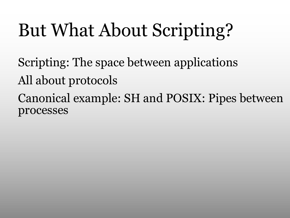## But What About Scripting?

Scripting: The space between applications All about protocols Canonical example: SH and POSIX: Pipes between processes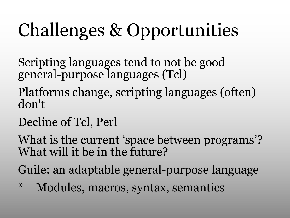## Challenges & Opportunities

Scripting languages tend to not be good general-purpose languages (Tcl)

- Platforms change, scripting languages (often) don't
- Decline of Tcl, Perl

What is the current 'space between programs'? What will it be in the future?

Guile: an adaptable general-purpose language

\* Modules, macros, syntax, semantics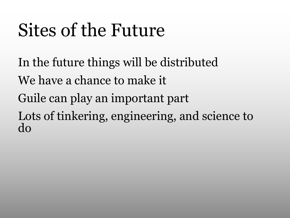## Sites of the Future

In the future things will be distributed We have a chance to make it Guile can play an important part Lots of tinkering, engineering, and science to do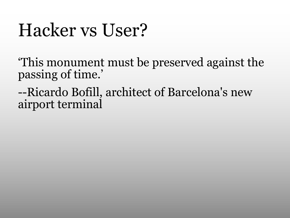#### Hacker vs User?

'This monument must be preserved against the passing of time.'

--Ricardo Bofill, architect of Barcelona's new airport terminal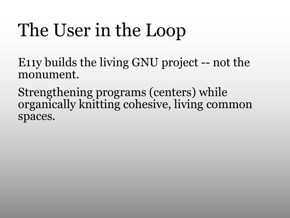## The User in the Loop

E11y builds the living GNU project -- not the monument.

Strengthening programs (centers) while organically knitting cohesive, living common spaces.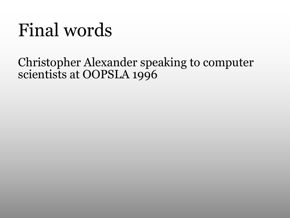#### Final words

#### Christopher Alexander speaking to computer scientists at OOPSLA 1996